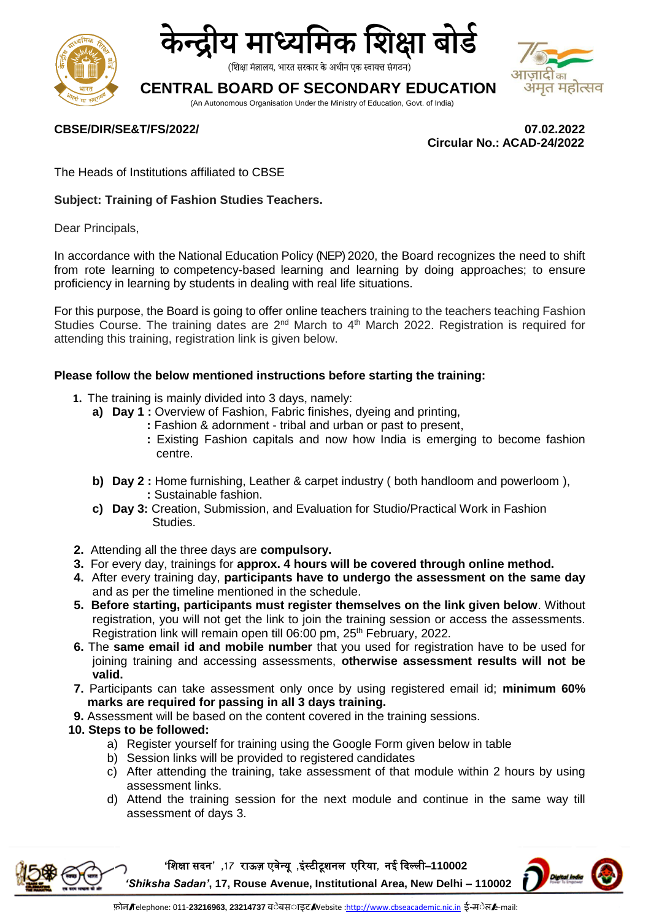



(शिक्षा मंत्रालय, भारत सरकार के अधीन एक स्वायत्त संगठन)

# **CENTRAL BOARD OF SECONDARY EDUCATION**

 $\mathsf{T}$ का भमृत महोत्सव

(An Autonomous Organisation Under the Ministry of Education, Govt. of India)

#### **CBSE/DIR/SE&T/FS/2022/ 07.02.2022**

 **Circular No.: ACAD-24/2022**

The Heads of Institutions affiliated to CBSE

#### **Subject: Training of Fashion Studies Teachers.**

Dear Principals,

In accordance with the National Education Policy (NEP) 2020, the Board recognizes the need to shift from rote learning to competency-based learning and learning by doing approaches; to ensure proficiency in learning by students in dealing with real life situations.

For this purpose, the Board is going to offer online teachers training to the teachers teaching Fashion Studies Course. The training dates are 2<sup>nd</sup> March to 4<sup>th</sup> March 2022. Registration is required for attending this training, registration link is given below.

#### **Please follow the below mentioned instructions before starting the training:**

- **1.** The training is mainly divided into 3 days, namely:
	- **a) Day 1 :** Overview of Fashion, Fabric finishes, dyeing and printing,
		- **:** Fashion & adornment tribal and urban or past to present,
		- **:** Existing Fashion capitals and now how India is emerging to become fashion centre.
	- **b) Day 2 :** Home furnishing, Leather & carpet industry ( both handloom and powerloom ),  **:** Sustainable fashion.
	- **c) Day 3:** Creation, Submission, and Evaluation for Studio/Practical Work in Fashion Studies.
- **2.** Attending all the three days are **compulsory.**
- **3.** For every day, trainings for **approx. 4 hours will be covered through online method.**
- **4.** After every training day, **participants have to undergo the assessment on the same day** and as per the timeline mentioned in the schedule.
- **5. Before starting, participants must register themselves on the link given below**. Without registration, you will not get the link to join the training session or access the assessments. Registration link will remain open till 06:00 pm, 25<sup>th</sup> February, 2022.
- **6.** The **same email id and mobile number** that you used for registration have to be used for joining training and accessing assessments, **otherwise assessment results will not be valid.**
- **7.** Participants can take assessment only once by using registered email id; **minimum 60% marks are required for passing in all 3 days training.**
- **9.** Assessment will be based on the content covered in the training sessions.
- **10. Steps to be followed:**
	- a) Register yourself for training using the Google Form given below in table
	- b) Session links will be provided to registered candidates
	- c) After attending the training, take assessment of that module within 2 hours by using assessment links.
	- d) Attend the training session for the next module and continue in the same way till assessment of days 3.



**'**शिक्षा सदन**' ,71** राऊज़ एवेन्यू **,**इंस्टीटूिनल एररया**,** नई ददल्ली–**110002**  *'Shiksha Sadan'***, 17, Rouse Avenue, Institutional Area, New Delhi – 110002**

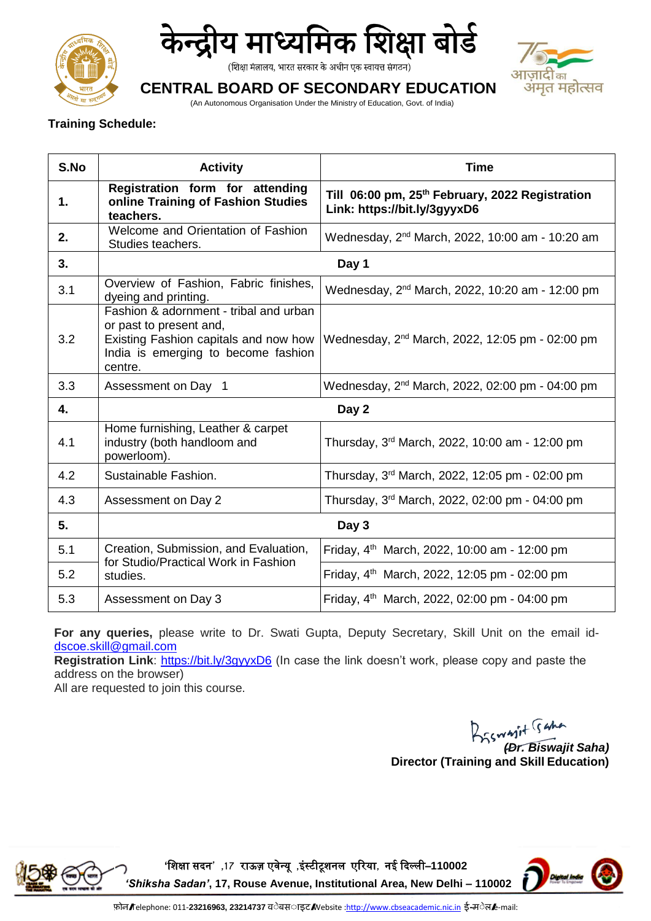



(शिक्षा मंत्रालय, भारत सरकार के अधीन एक स्वायत्त संगठन)



## **CENTRAL BOARD OF SECONDARY EDUCATION**

(An Autonomous Organisation Under the Ministry of Education, Govt. of India)

### **Training Schedule:**

| S.No | <b>Activity</b>                                                                                                                                              | <b>Time</b>                                                                                 |
|------|--------------------------------------------------------------------------------------------------------------------------------------------------------------|---------------------------------------------------------------------------------------------|
| 1.   | Registration form for attending<br>online Training of Fashion Studies<br>teachers.                                                                           | Till 06:00 pm, 25 <sup>th</sup> February, 2022 Registration<br>Link: https://bit.ly/3gyyxD6 |
| 2.   | Welcome and Orientation of Fashion<br>Studies teachers.                                                                                                      | Wednesday, 2 <sup>nd</sup> March, 2022, 10:00 am - 10:20 am                                 |
| 3.   | Day 1                                                                                                                                                        |                                                                                             |
| 3.1  | Overview of Fashion, Fabric finishes,<br>dyeing and printing.                                                                                                | Wednesday, 2 <sup>nd</sup> March, 2022, 10:20 am - 12:00 pm                                 |
| 3.2  | Fashion & adornment - tribal and urban<br>or past to present and,<br>Existing Fashion capitals and now how<br>India is emerging to become fashion<br>centre. | Wednesday, 2 <sup>nd</sup> March, 2022, 12:05 pm - 02:00 pm                                 |
| 3.3  | Assessment on Day 1                                                                                                                                          | Wednesday, 2 <sup>nd</sup> March, 2022, 02:00 pm - 04:00 pm                                 |
| 4.   | Day 2                                                                                                                                                        |                                                                                             |
| 4.1  | Home furnishing, Leather & carpet<br>industry (both handloom and<br>powerloom).                                                                              | Thursday, 3rd March, 2022, 10:00 am - 12:00 pm                                              |
| 4.2  | Sustainable Fashion.                                                                                                                                         | Thursday, 3rd March, 2022, 12:05 pm - 02:00 pm                                              |
| 4.3  | Assessment on Day 2                                                                                                                                          | Thursday, 3rd March, 2022, 02:00 pm - 04:00 pm                                              |
| 5.   | Day 3                                                                                                                                                        |                                                                                             |
| 5.1  | Creation, Submission, and Evaluation,<br>for Studio/Practical Work in Fashion<br>studies.                                                                    | Friday, $4^{th}$ March, 2022, 10:00 am - 12:00 pm                                           |
| 5.2  |                                                                                                                                                              | Friday, $4^{th}$ March, 2022, 12:05 pm - 02:00 pm                                           |
| 5.3  | Assessment on Day 3                                                                                                                                          | Friday, 4 <sup>th</sup> March, 2022, 02:00 pm - 04:00 pm                                    |

**For any queries,** please write to Dr. Swati Gupta, Deputy Secretary, Skill Unit on the email id[dscoe.skill@gmail.com](mailto:dscoe.skill@gmail.com)

**Registration Link:**<https://bit.ly/3gyyxD6> (In case the link doesn't work, please copy and paste the address on the browser)

All are requested to join this course.

*(Dr. Biswajit Saha)*  **Director (Training and Skill Education)**



**'**शिक्षा सदन**' ,71** राऊज़ एवेन्यू **,**इंस्टीटूिनल एररया**,** नई ददल्ली–**110002**